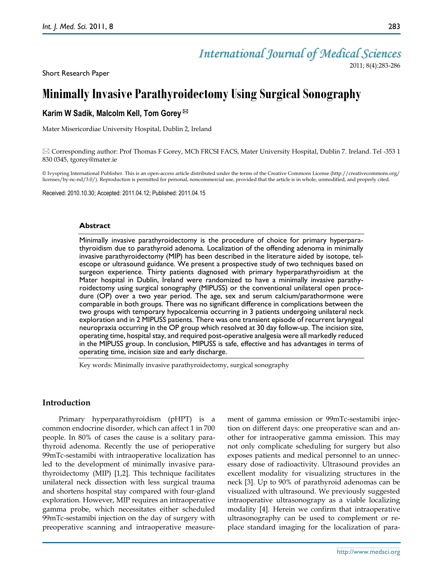# *International Journal of Medical Sciences*

2011; 8(4):283-286

Short Research Paper

# **Minimally Invasive Parathyroidectomy Using Surgical Sonography**

# **Karim W Sadik, Malcolm Kell, Tom Gorey**

Mater Misericordiae University Hospital, Dublin 2, Ireland

 $\boxtimes$  Corresponding author: Prof Thomas F Gorey, MCh FRCSI FACS, Mater University Hospital, Dublin 7. Ireland. Tel -353 1 830 0345, [tgorey@mater.ie](mailto:tgorey@mater.ie)

© Ivyspring International Publisher. This is an open-access article distributed under the terms of the Creative Commons License (http://creativecommons.org/ licenses/by-nc-nd/3.0/). Reproduction is permitted for personal, noncommercial use, provided that the article is in whole, unmodified, and properly cited.

Received: 2010.10.30; Accepted: 2011.04.12; Published: 2011.04.15

## **Abstract**

Minimally invasive parathyroidectomy is the procedure of choice for primary hyperparathyroidism due to parathyroid adenoma. Localization of the offending adenoma in minimally invasive parathyroidectomy (MIP) has been described in the literature aided by isotope, telescope or ultrasound guidance. We present a prospective study of two techniques based on surgeon experience. Thirty patients diagnosed with primary hyperparathyroidism at the Mater hospital in Dublin, Ireland were randomized to have a minimally invasive parathyroidectomy using surgical sonography (MIPUSS) or the conventional unilateral open procedure (OP) over a two year period. The age, sex and serum calcium/parathormone were comparable in both groups. There was no significant difference in complications between the two groups with temporary hypocalcemia occurring in 3 patients undergoing unilateral neck exploration and in 2 MIPUSS patients. There was one transient episode of recurrent laryngeal neuropraxia occurring in the OP group which resolved at 30 day follow-up. The incision size, operating time, hospital stay, and required post-operative analgesia were all markedly reduced in the MIPUSS group. In conclusion, MIPUSS is safe, effective and has advantages in terms of operating time, incision size and early discharge.

Key words: Minimally invasive parathyroidectomy, surgical sonography

## **Introduction**

Primary hyperparathyroidism (pHPT) is a common endocrine disorder, which can affect 1 in 700 people. In 80% of cases the cause is a solitary parathyroid adenoma. Recently the use of perioperative 99mTc-sestamibi with intraoperative localization has led to the development of minimally invasive parathyroidectomy (MIP) [1,2]. This technique facilitates unilateral neck dissection with less surgical trauma and shortens hospital stay compared with four-gland exploration. However, MIP requires an intraoperative gamma probe, which necessitates either scheduled 99mTc-sestamibi injection on the day of surgery with preoperative scanning and intraoperative measurement of gamma emission or 99mTc-sestamibi injection on different days: one preoperative scan and another for intraoperative gamma emission. This may not only complicate scheduling for surgery but also exposes patients and medical personnel to an unnecessary dose of radioactivity. Ultrasound provides an excellent modality for visualizing structures in the neck [3]. Up to 90% of parathyroid adenomas can be visualized with ultrasound. We previously suggested intraoperative ultrasonograpy as a viable localizing modality [4]. Herein we confirm that intraoperative ultrasonography can be used to complement or replace standard imaging for the localization of para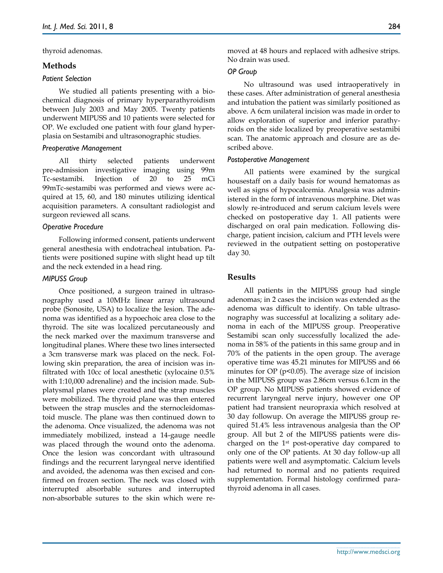thyroid adenomas.

## **Methods**

#### *Patient Selection*

We studied all patients presenting with a biochemical diagnosis of primary hyperparathyroidism between July 2003 and May 2005. Twenty patients underwent MIPUSS and 10 patients were selected for OP. We excluded one patient with four gland hyperplasia on Sestamibi and ultrasonographic studies.

#### *Preoperative Management*

All thirty selected patients underwent pre-admission investigative imaging using 99m Tc-sestamibi. Injection of 20 to 25 mCi 99mTc-sestamibi was performed and views were acquired at 15, 60, and 180 minutes utilizing identical acquisition parameters. A consultant radiologist and surgeon reviewed all scans.

#### *Operative Procedure*

Following informed consent, patients underwent general anesthesia with endotracheal intubation. Patients were positioned supine with slight head up tilt and the neck extended in a head ring.

#### *MIPUSS Group*

Once positioned, a surgeon trained in ultrasonography used a 10MHz linear array ultrasound probe (Sonosite, USA) to localize the lesion. The adenoma was identified as a hypoechoic area close to the thyroid. The site was localized percutaneously and the neck marked over the maximum transverse and longitudinal planes. Where these two lines intersected a 3cm transverse mark was placed on the neck. Following skin preparation, the area of incision was infiltrated with 10cc of local anesthetic (xylocaine 0.5% with 1:10,000 adrenaline) and the incision made. Subplatysmal planes were created and the strap muscles were mobilized. The thyroid plane was then entered between the strap muscles and the sternocleidomastoid muscle. The plane was then continued down to the adenoma. Once visualized, the adenoma was not immediately mobilized, instead a 14-gauge needle was placed through the wound onto the adenoma. Once the lesion was concordant with ultrasound findings and the recurrent laryngeal nerve identified and avoided, the adenoma was then excised and confirmed on frozen section. The neck was closed with interrupted absorbable sutures and interrupted non-absorbable sutures to the skin which were removed at 48 hours and replaced with adhesive strips. No drain was used.

#### *OP Group*

No ultrasound was used intraoperatively in these cases. After administration of general anesthesia and intubation the patient was similarly positioned as above. A 6cm unilateral incision was made in order to allow exploration of superior and inferior parathyroids on the side localized by preoperative sestamibi scan. The anatomic approach and closure are as described above.

#### *Postoperative Management*

All patients were examined by the surgical housestaff on a daily basis for wound hematomas as well as signs of hypocalcemia. Analgesia was administered in the form of intravenous morphine. Diet was slowly re-introduced and serum calcium levels were checked on postoperative day 1. All patients were discharged on oral pain medication. Following discharge, patient incision, calcium and PTH levels were reviewed in the outpatient setting on postoperative day 30.

## **Results**

All patients in the MIPUSS group had single adenomas; in 2 cases the incision was extended as the adenoma was difficult to identify. On table ultrasonography was successful at localizing a solitary adenoma in each of the MIPUSS group. Preoperative Sestamibi scan only successfully localized the adenoma in 58% of the patients in this same group and in 70% of the patients in the open group. The average operative time was 45.21 minutes for MIPUSS and 66 minutes for OP ( $p$ <0.05). The average size of incision in the MIPUSS group was 2.86cm versus 6.1cm in the OP group. No MIPUSS patients showed evidence of recurrent laryngeal nerve injury, however one OP patient had transient neuropraxia which resolved at 30 day followup. On average the MIPUSS group required 51.4% less intravenous analgesia than the OP group. All but 2 of the MIPUSS patients were discharged on the 1st post-operative day compared to only one of the OP patients. At 30 day follow-up all patients were well and asymptomatic. Calcium levels had returned to normal and no patients required supplementation. Formal histology confirmed parathyroid adenoma in all cases.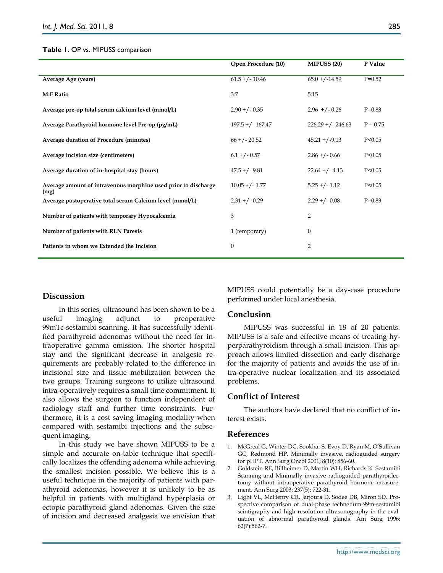#### **Table 1**. OP vs. MIPUSS comparison

|                                                                        | Open Procedure (10) | <b>MIPUSS (20)</b>    | P Value    |
|------------------------------------------------------------------------|---------------------|-----------------------|------------|
| Average Age (years)                                                    | $61.5 + (-10.46)$   | $65.0 + (-14.59)$     | $P=0.52$   |
| <b>M:F Ratio</b>                                                       | 3:7                 | 5:15                  |            |
| Average pre-op total serum calcium level (mmol/L)                      | $2.90 + (-0.35)$    | $2.96$ +/-0.26        | $P=0.83$   |
| Average Parathyroid hormone level Pre-op (pg/mL)                       | $197.5 + (-167.47)$ | $226.29 + / - 246.63$ | $P = 0.75$ |
| Average duration of Procedure (minutes)                                | $66 + (-20.52)$     | $45.21 + (-9.13)$     | P < 0.05   |
| Average incision size (centimeters)                                    | $6.1 + (-0.57)$     | $2.86 + (-0.66)$      | P < 0.05   |
| Average duration of in-hospital stay (hours)                           | $47.5 + (-9.81)$    | $22.64 + (-4.13)$     | P < 0.05   |
| Average amount of intravenous morphine used prior to discharge<br>(mg) | $10.05 + (-1.77)$   | $5.25 + (-1.12)$      | P < 0.05   |
| Average postoperative total serum Calcium level (mmol/L)               | $2.31 + (-0.29)$    | $2.29 + (-0.08)$      | $P=0.83$   |
| Number of patients with temporary Hypocalcemia                         | 3                   | $\overline{2}$        |            |
| Number of patients with RLN Paresis                                    | 1 (temporary)       | $\mathbf{0}$          |            |
| Patients in whom we Extended the Incision                              | $\boldsymbol{0}$    | $\overline{2}$        |            |

## **Discussion**

In this series, ultrasound has been shown to be a useful imaging adjunct to preoperative 99mTc-sestamibi scanning. It has successfully identified parathyroid adenomas without the need for intraoperative gamma emission. The shorter hospital stay and the significant decrease in analgesic requirements are probably related to the difference in incisional size and tissue mobilization between the two groups. Training surgeons to utilize ultrasound intra-operatively requires a small time commitment. It also allows the surgeon to function independent of radiology staff and further time constraints. Furthermore, it is a cost saving imaging modality when compared with sestamibi injections and the subsequent imaging.

In this study we have shown MIPUSS to be a simple and accurate on-table technique that specifically localizes the offending adenoma while achieving the smallest incision possible. We believe this is a useful technique in the majority of patients with parathyroid adenomas, however it is unlikely to be as helpful in patients with multigland hyperplasia or ectopic parathyroid gland adenomas. Given the size of incision and decreased analgesia we envision that MIPUSS could potentially be a day-case procedure performed under local anesthesia.

#### **Conclusion**

MIPUSS was successful in 18 of 20 patients. MIPUSS is a safe and effective means of treating hyperparathyroidism through a small incision. This approach allows limited dissection and early discharge for the majority of patients and avoids the use of intra-operative nuclear localization and its associated problems.

## **Conflict of Interest**

The authors have declared that no conflict of interest exists.

### **References**

- 1. McGreal G, Winter DC, Sookhai S, Evoy D, Ryan M, O'Sullivan GC, Redmond HP. Minimally invasive, radioguided surgery for pHPT. Ann Surg Oncol 2001; 8(10): 856-60.
- 2. Goldstein RE, Billheimer D, Martin WH, Richards K. Sestamibi Scanning and Minimally invasive radioguided parathyroidectomy without intraoperative parathyroid hormone measurement. Ann Surg 2003; 237(5): 722-31.
- 3. Light VL, McHenry CR, Jarjoura D, Sodee DB, Miron SD. Prospective comparison of dual-phase technetium-99m-sestamibi scintigraphy and high resolution ultrasonography in the evaluation of abnormal parathyroid glands. Am Surg 1996; 62(7):562-7.